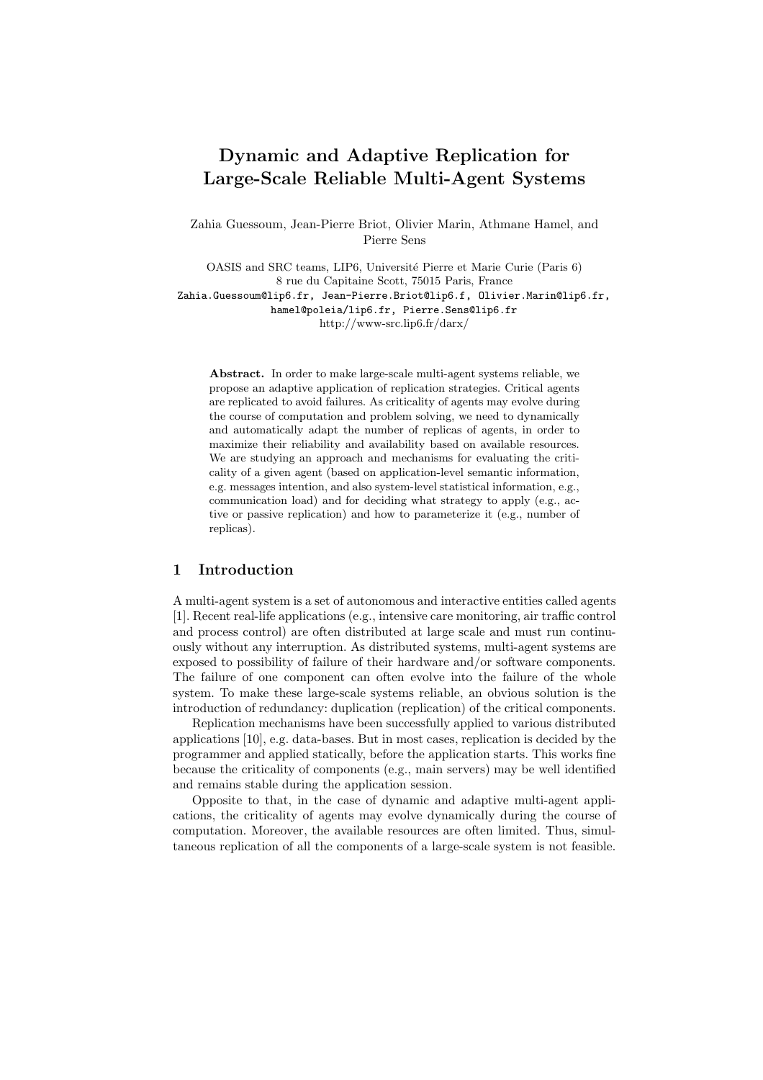# Dynamic and Adaptive Replication for Large-Scale Reliable Multi-Agent Systems

Zahia Guessoum, Jean-Pierre Briot, Olivier Marin, Athmane Hamel, and Pierre Sens

OASIS and SRC teams, LIP6, Université Pierre et Marie Curie (Paris 6) 8 rue du Capitaine Scott, 75015 Paris, France Zahia.Guessoum@lip6.fr, Jean-Pierre.Briot@lip6.f, Olivier.Marin@lip6.fr, hamel@poleia/lip6.fr, Pierre.Sens@lip6.fr http://www-src.lip6.fr/darx/

Abstract. In order to make large-scale multi-agent systems reliable, we propose an adaptive application of replication strategies. Critical agents are replicated to avoid failures. As criticality of agents may evolve during the course of computation and problem solving, we need to dynamically and automatically adapt the number of replicas of agents, in order to maximize their reliability and availability based on available resources. We are studying an approach and mechanisms for evaluating the criticality of a given agent (based on application-level semantic information, e.g. messages intention, and also system-level statistical information, e.g., communication load) and for deciding what strategy to apply (e.g., active or passive replication) and how to parameterize it (e.g., number of replicas).

# 1 Introduction

A multi-agent system is a set of autonomous and interactive entities called agents [1]. Recent real-life applications (e.g., intensive care monitoring, air traffic control and process control) are often distributed at large scale and must run continuously without any interruption. As distributed systems, multi-agent systems are exposed to possibility of failure of their hardware and/or software components. The failure of one component can often evolve into the failure of the whole system. To make these large-scale systems reliable, an obvious solution is the introduction of redundancy: duplication (replication) of the critical components.

Replication mechanisms have been successfully applied to various distributed applications [10], e.g. data-bases. But in most cases, replication is decided by the programmer and applied statically, before the application starts. This works fine because the criticality of components (e.g., main servers) may be well identified and remains stable during the application session.

Opposite to that, in the case of dynamic and adaptive multi-agent applications, the criticality of agents may evolve dynamically during the course of computation. Moreover, the available resources are often limited. Thus, simultaneous replication of all the components of a large-scale system is not feasible.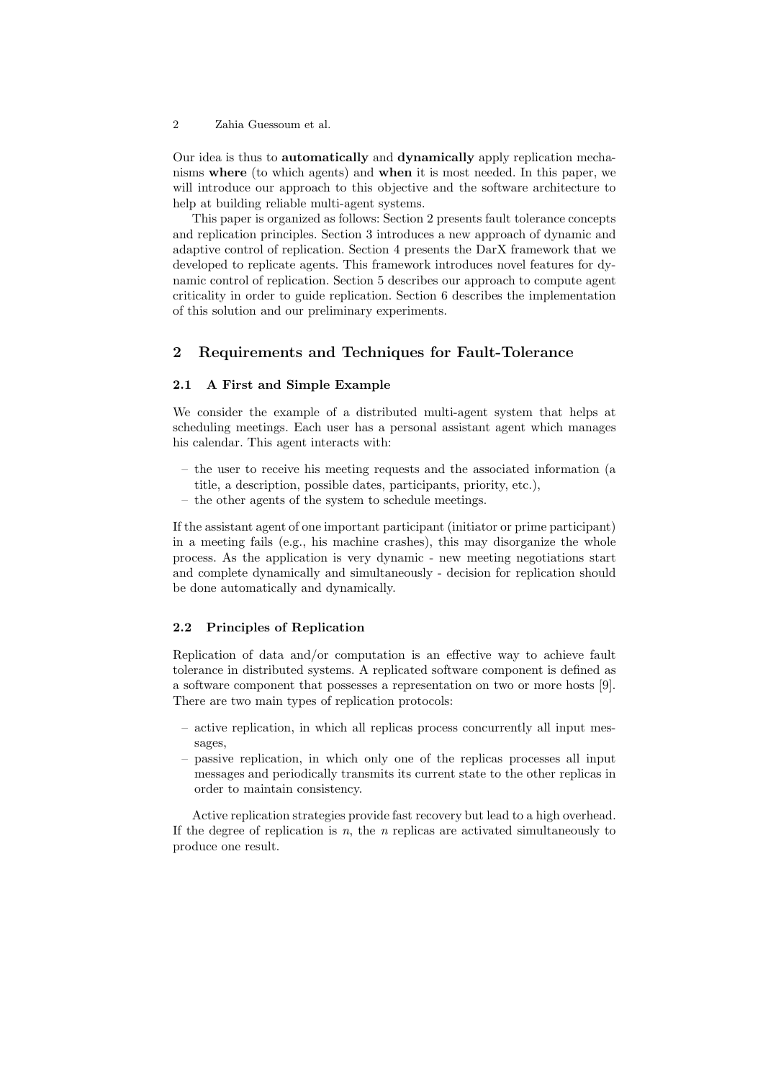Our idea is thus to automatically and dynamically apply replication mechanisms where (to which agents) and when it is most needed. In this paper, we will introduce our approach to this objective and the software architecture to help at building reliable multi-agent systems.

This paper is organized as follows: Section 2 presents fault tolerance concepts and replication principles. Section 3 introduces a new approach of dynamic and adaptive control of replication. Section 4 presents the DarX framework that we developed to replicate agents. This framework introduces novel features for dynamic control of replication. Section 5 describes our approach to compute agent criticality in order to guide replication. Section 6 describes the implementation of this solution and our preliminary experiments.

# 2 Requirements and Techniques for Fault-Tolerance

# 2.1 A First and Simple Example

We consider the example of a distributed multi-agent system that helps at scheduling meetings. Each user has a personal assistant agent which manages his calendar. This agent interacts with:

- the user to receive his meeting requests and the associated information (a title, a description, possible dates, participants, priority, etc.),
- the other agents of the system to schedule meetings.

If the assistant agent of one important participant (initiator or prime participant) in a meeting fails (e.g., his machine crashes), this may disorganize the whole process. As the application is very dynamic - new meeting negotiations start and complete dynamically and simultaneously - decision for replication should be done automatically and dynamically.

#### 2.2 Principles of Replication

Replication of data and/or computation is an effective way to achieve fault tolerance in distributed systems. A replicated software component is defined as a software component that possesses a representation on two or more hosts [9]. There are two main types of replication protocols:

- active replication, in which all replicas process concurrently all input messages,
- passive replication, in which only one of the replicas processes all input messages and periodically transmits its current state to the other replicas in order to maintain consistency.

Active replication strategies provide fast recovery but lead to a high overhead. If the degree of replication is  $n$ , the  $n$  replicas are activated simultaneously to produce one result.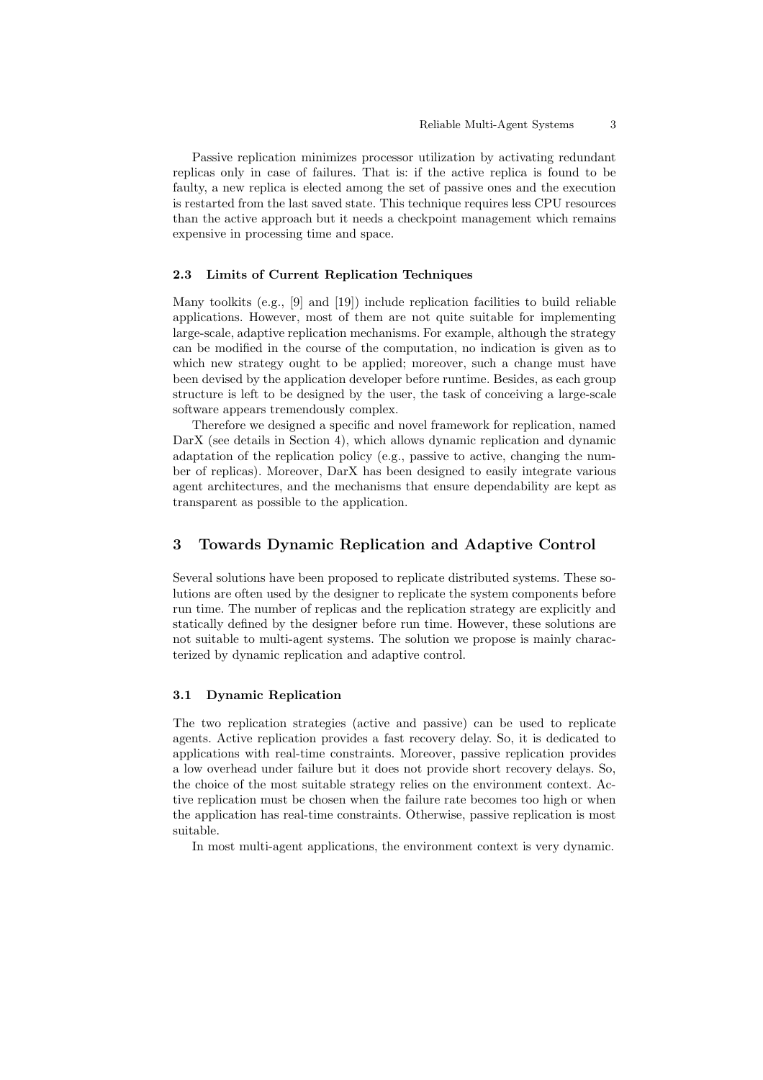Passive replication minimizes processor utilization by activating redundant replicas only in case of failures. That is: if the active replica is found to be faulty, a new replica is elected among the set of passive ones and the execution is restarted from the last saved state. This technique requires less CPU resources than the active approach but it needs a checkpoint management which remains expensive in processing time and space.

### 2.3 Limits of Current Replication Techniques

Many toolkits (e.g., [9] and [19]) include replication facilities to build reliable applications. However, most of them are not quite suitable for implementing large-scale, adaptive replication mechanisms. For example, although the strategy can be modified in the course of the computation, no indication is given as to which new strategy ought to be applied; moreover, such a change must have been devised by the application developer before runtime. Besides, as each group structure is left to be designed by the user, the task of conceiving a large-scale software appears tremendously complex.

Therefore we designed a specific and novel framework for replication, named DarX (see details in Section 4), which allows dynamic replication and dynamic adaptation of the replication policy (e.g., passive to active, changing the number of replicas). Moreover, DarX has been designed to easily integrate various agent architectures, and the mechanisms that ensure dependability are kept as transparent as possible to the application.

# 3 Towards Dynamic Replication and Adaptive Control

Several solutions have been proposed to replicate distributed systems. These solutions are often used by the designer to replicate the system components before run time. The number of replicas and the replication strategy are explicitly and statically defined by the designer before run time. However, these solutions are not suitable to multi-agent systems. The solution we propose is mainly characterized by dynamic replication and adaptive control.

### 3.1 Dynamic Replication

The two replication strategies (active and passive) can be used to replicate agents. Active replication provides a fast recovery delay. So, it is dedicated to applications with real-time constraints. Moreover, passive replication provides a low overhead under failure but it does not provide short recovery delays. So, the choice of the most suitable strategy relies on the environment context. Active replication must be chosen when the failure rate becomes too high or when the application has real-time constraints. Otherwise, passive replication is most suitable.

In most multi-agent applications, the environment context is very dynamic.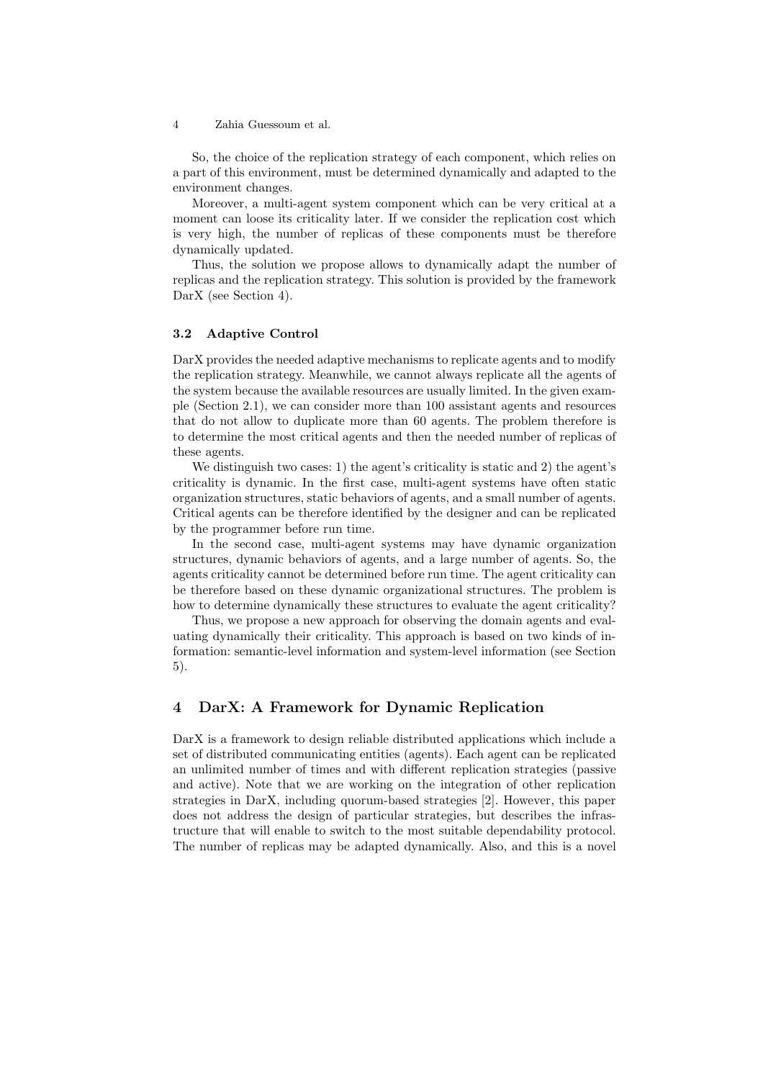So, the choice of the replication strategy of each component, which relies on a part of this environment, must be determined dynamically and adapted to the environment changes.

Moreover, a multi-agent system component which can be very critical at a moment can loose its criticality later. If we consider the replication cost which is very high, the number of replicas of these components must be therefore dynamically updated.

Thus, the solution we propose allows to dynamically adapt the number of replicas and the replication strategy. This solution is provided by the framework DarX (see Section 4).

#### 3.2 Adaptive Control

DarX provides the needed adaptive mechanisms to replicate agents and to modify the replication strategy. Meanwhile, we cannot always replicate all the agents of the system because the available resources are usually limited. In the given example (Section 2.1), we can consider more than 100 assistant agents and resources that do not allow to duplicate more than 60 agents. The problem therefore is to determine the most critical agents and then the needed number of replicas of these agents.

We distinguish two cases: 1) the agent's criticality is static and 2) the agent's criticality is dynamic. In the first case, multi-agent systems have often static organization structures, static behaviors of agents, and a small number of agents. Critical agents can be therefore identified by the designer and can be replicated by the programmer before run time.

In the second case, multi-agent systems may have dynamic organization structures, dynamic behaviors of agents, and a large number of agents. So, the agents criticality cannot be determined before run time. The agent criticality can be therefore based on these dynamic organizational structures. The problem is how to determine dynamically these structures to evaluate the agent criticality?

Thus, we propose a new approach for observing the domain agents and evaluating dynamically their criticality. This approach is based on two kinds of information: semantic-level information and system-level information (see Section 5).

# 4 DarX: A Framework for Dynamic Replication

DarX is a framework to design reliable distributed applications which include a set of distributed communicating entities (agents). Each agent can be replicated an unlimited number of times and with different replication strategies (passive and active). Note that we are working on the integration of other replication strategies in DarX, including quorum-based strategies [2]. However, this paper does not address the design of particular strategies, but describes the infrastructure that will enable to switch to the most suitable dependability protocol. The number of replicas may be adapted dynamically. Also, and this is a novel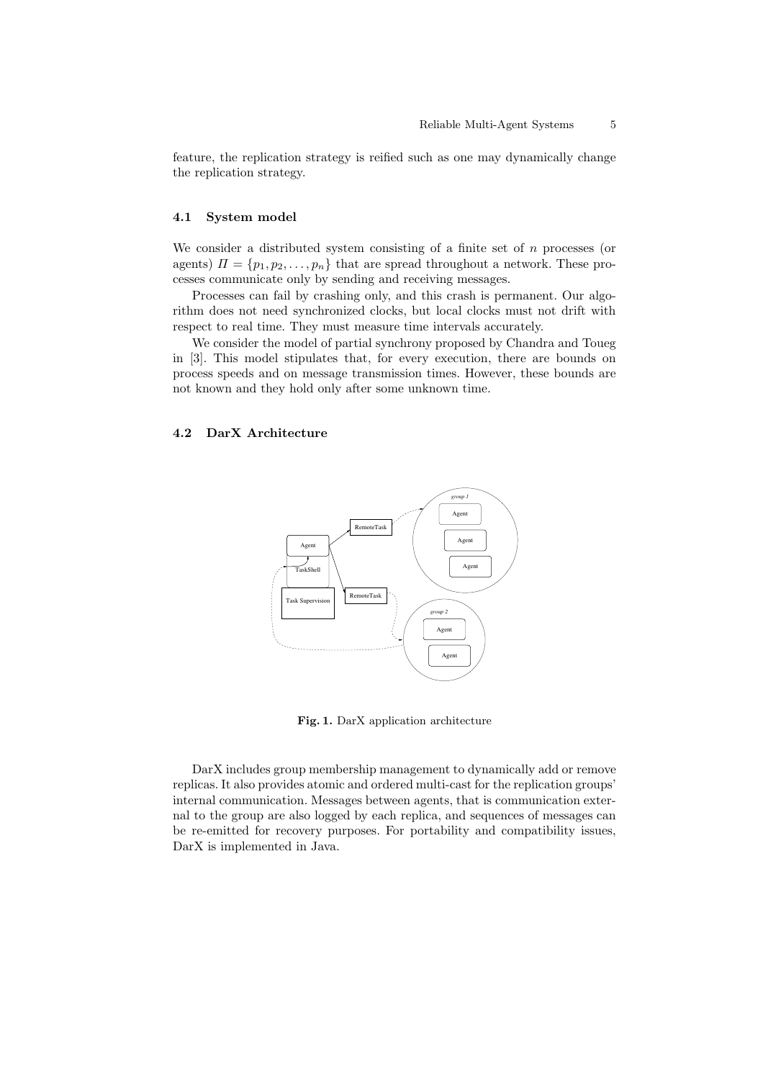feature, the replication strategy is reified such as one may dynamically change the replication strategy.

### 4.1 System model

We consider a distributed system consisting of a finite set of  $n$  processes (or agents)  $\Pi = \{p_1, p_2, \ldots, p_n\}$  that are spread throughout a network. These processes communicate only by sending and receiving messages.

Processes can fail by crashing only, and this crash is permanent. Our algorithm does not need synchronized clocks, but local clocks must not drift with respect to real time. They must measure time intervals accurately.

We consider the model of partial synchrony proposed by Chandra and Toueg in [3]. This model stipulates that, for every execution, there are bounds on process speeds and on message transmission times. However, these bounds are not known and they hold only after some unknown time.

### 4.2 DarX Architecture



Fig. 1. DarX application architecture

DarX includes group membership management to dynamically add or remove replicas. It also provides atomic and ordered multi-cast for the replication groups' internal communication. Messages between agents, that is communication external to the group are also logged by each replica, and sequences of messages can be re-emitted for recovery purposes. For portability and compatibility issues, DarX is implemented in Java.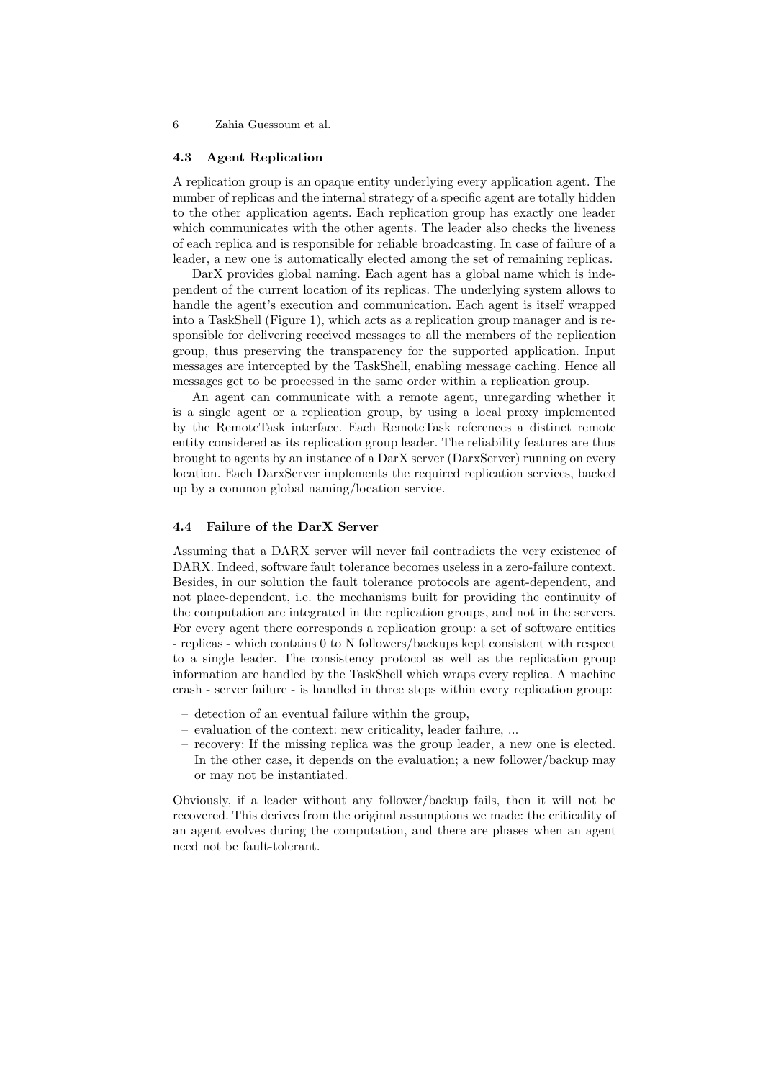#### 4.3 Agent Replication

A replication group is an opaque entity underlying every application agent. The number of replicas and the internal strategy of a specific agent are totally hidden to the other application agents. Each replication group has exactly one leader which communicates with the other agents. The leader also checks the liveness of each replica and is responsible for reliable broadcasting. In case of failure of a leader, a new one is automatically elected among the set of remaining replicas.

DarX provides global naming. Each agent has a global name which is independent of the current location of its replicas. The underlying system allows to handle the agent's execution and communication. Each agent is itself wrapped into a TaskShell (Figure 1), which acts as a replication group manager and is responsible for delivering received messages to all the members of the replication group, thus preserving the transparency for the supported application. Input messages are intercepted by the TaskShell, enabling message caching. Hence all messages get to be processed in the same order within a replication group.

An agent can communicate with a remote agent, unregarding whether it is a single agent or a replication group, by using a local proxy implemented by the RemoteTask interface. Each RemoteTask references a distinct remote entity considered as its replication group leader. The reliability features are thus brought to agents by an instance of a DarX server (DarxServer) running on every location. Each DarxServer implements the required replication services, backed up by a common global naming/location service.

#### 4.4 Failure of the DarX Server

Assuming that a DARX server will never fail contradicts the very existence of DARX. Indeed, software fault tolerance becomes useless in a zero-failure context. Besides, in our solution the fault tolerance protocols are agent-dependent, and not place-dependent, i.e. the mechanisms built for providing the continuity of the computation are integrated in the replication groups, and not in the servers. For every agent there corresponds a replication group: a set of software entities - replicas - which contains 0 to N followers/backups kept consistent with respect to a single leader. The consistency protocol as well as the replication group information are handled by the TaskShell which wraps every replica. A machine crash - server failure - is handled in three steps within every replication group:

- detection of an eventual failure within the group,
- evaluation of the context: new criticality, leader failure, ...
- recovery: If the missing replica was the group leader, a new one is elected. In the other case, it depends on the evaluation; a new follower/backup may or may not be instantiated.

Obviously, if a leader without any follower/backup fails, then it will not be recovered. This derives from the original assumptions we made: the criticality of an agent evolves during the computation, and there are phases when an agent need not be fault-tolerant.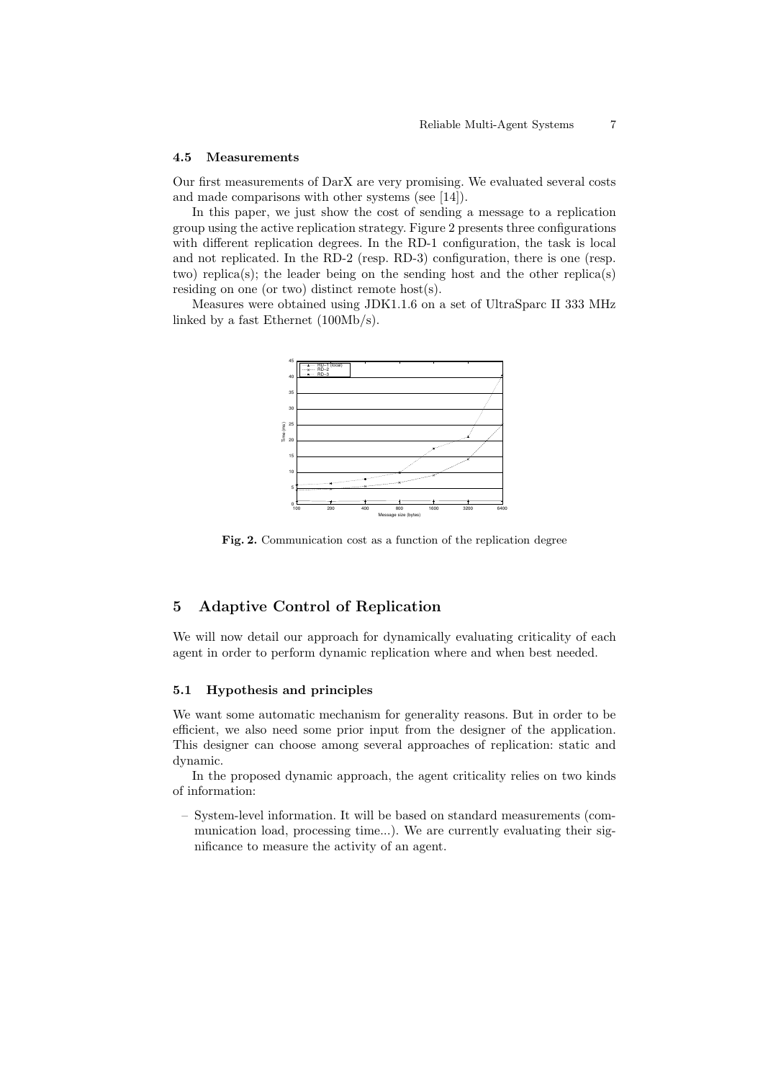#### 4.5 Measurements

Our first measurements of DarX are very promising. We evaluated several costs and made comparisons with other systems (see [14]).

In this paper, we just show the cost of sending a message to a replication group using the active replication strategy. Figure 2 presents three configurations with different replication degrees. In the RD-1 configuration, the task is local and not replicated. In the RD-2 (resp. RD-3) configuration, there is one (resp. two) replica(s); the leader being on the sending host and the other replica(s) residing on one (or two) distinct remote host(s).

Measures were obtained using JDK1.1.6 on a set of UltraSparc II 333 MHz linked by a fast Ethernet (100Mb/s).



Fig. 2. Communication cost as a function of the replication degree

# 5 Adaptive Control of Replication

We will now detail our approach for dynamically evaluating criticality of each agent in order to perform dynamic replication where and when best needed.

#### 5.1 Hypothesis and principles

We want some automatic mechanism for generality reasons. But in order to be efficient, we also need some prior input from the designer of the application. This designer can choose among several approaches of replication: static and dynamic.

In the proposed dynamic approach, the agent criticality relies on two kinds of information:

– System-level information. It will be based on standard measurements (communication load, processing time...). We are currently evaluating their significance to measure the activity of an agent.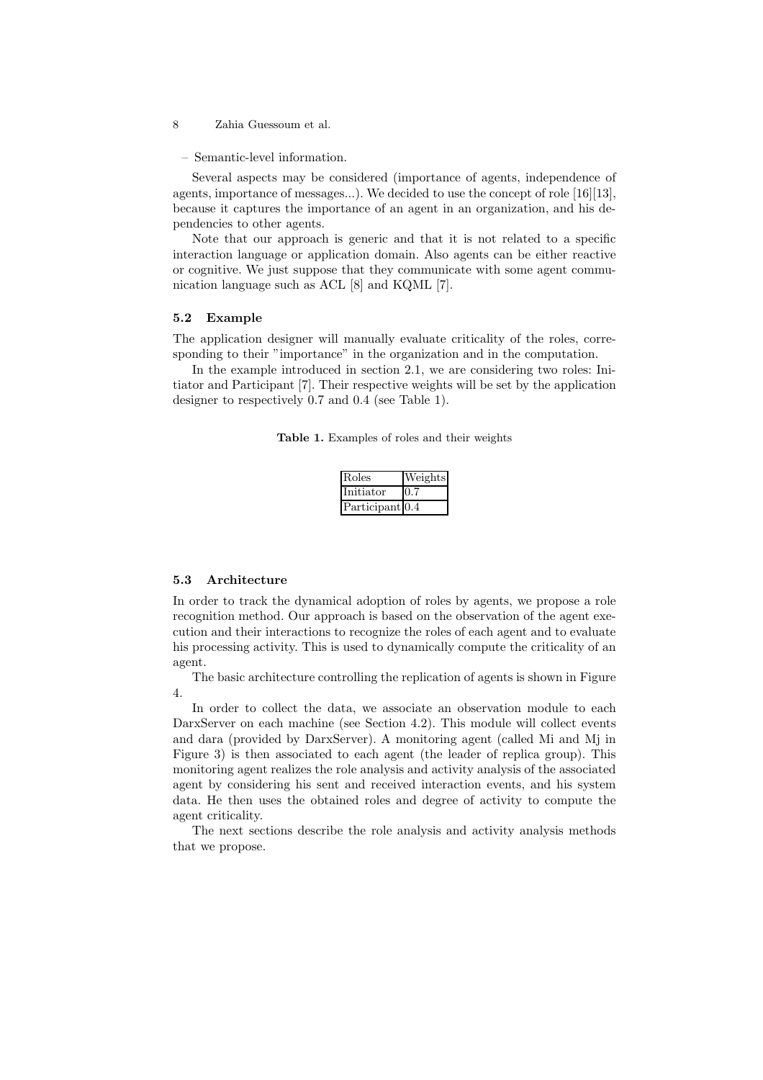– Semantic-level information.

Several aspects may be considered (importance of agents, independence of agents, importance of messages...). We decided to use the concept of role [16][13], because it captures the importance of an agent in an organization, and his dependencies to other agents.

Note that our approach is generic and that it is not related to a specific interaction language or application domain. Also agents can be either reactive or cognitive. We just suppose that they communicate with some agent communication language such as ACL [8] and KQML [7].

#### 5.2 Example

The application designer will manually evaluate criticality of the roles, corresponding to their "importance" in the organization and in the computation.

In the example introduced in section 2.1, we are considering two roles: Initiator and Participant [7]. Their respective weights will be set by the application designer to respectively 0.7 and 0.4 (see Table 1).

Table 1. Examples of roles and their weights

| Roles                        | Weights |
|------------------------------|---------|
| Initiator                    | (0.7)   |
| Participant <sup>[0.4]</sup> |         |

#### 5.3 Architecture

In order to track the dynamical adoption of roles by agents, we propose a role recognition method. Our approach is based on the observation of the agent execution and their interactions to recognize the roles of each agent and to evaluate his processing activity. This is used to dynamically compute the criticality of an agent.

The basic architecture controlling the replication of agents is shown in Figure 4.

In order to collect the data, we associate an observation module to each DarxServer on each machine (see Section 4.2). This module will collect events and dara (provided by DarxServer). A monitoring agent (called Mi and Mj in Figure 3) is then associated to each agent (the leader of replica group). This monitoring agent realizes the role analysis and activity analysis of the associated agent by considering his sent and received interaction events, and his system data. He then uses the obtained roles and degree of activity to compute the agent criticality.

The next sections describe the role analysis and activity analysis methods that we propose.

<sup>8</sup> Zahia Guessoum et al.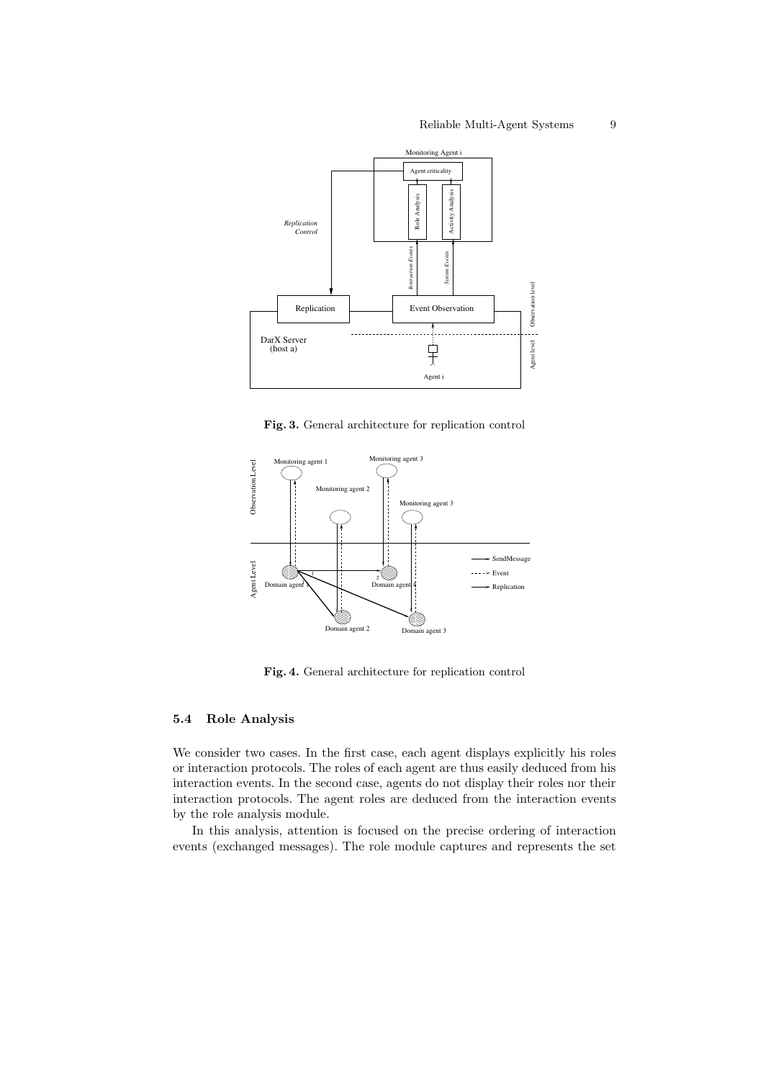

Fig. 3. General architecture for replication control



Fig. 4. General architecture for replication control

#### 5.4 Role Analysis

We consider two cases. In the first case, each agent displays explicitly his roles or interaction protocols. The roles of each agent are thus easily deduced from his interaction events. In the second case, agents do not display their roles nor their interaction protocols. The agent roles are deduced from the interaction events by the role analysis module.

In this analysis, attention is focused on the precise ordering of interaction events (exchanged messages). The role module captures and represents the set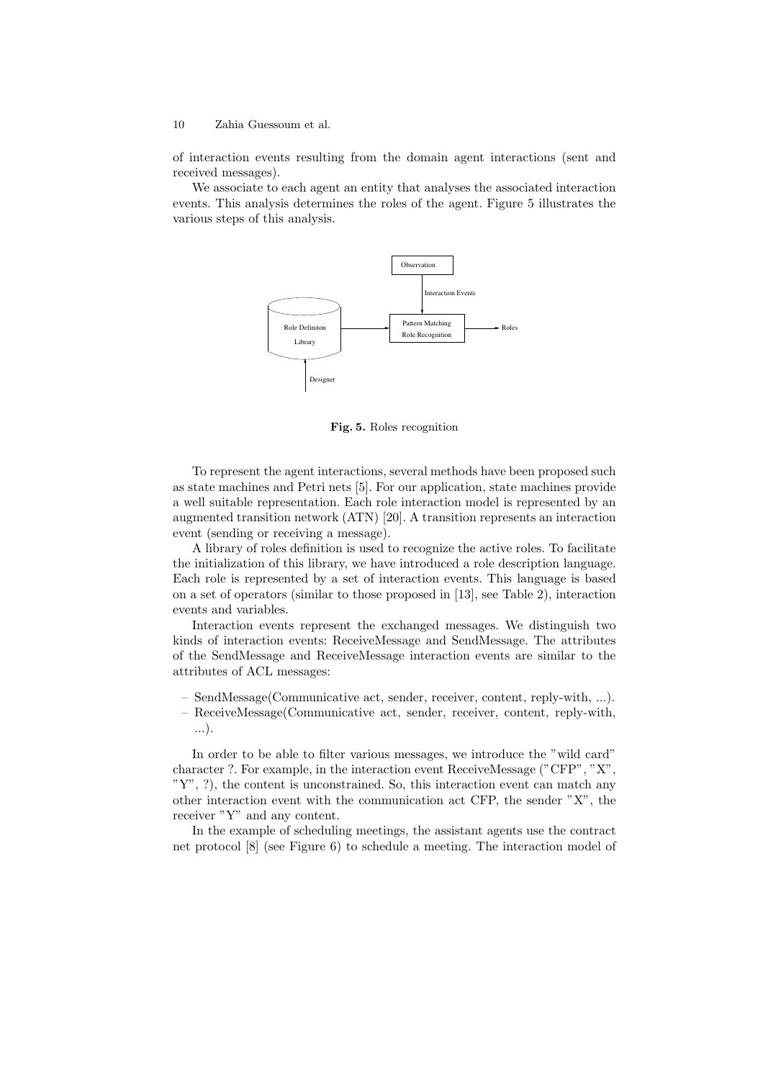of interaction events resulting from the domain agent interactions (sent and received messages).

We associate to each agent an entity that analyses the associated interaction events. This analysis determines the roles of the agent. Figure 5 illustrates the various steps of this analysis.



Fig. 5. Roles recognition

To represent the agent interactions, several methods have been proposed such as state machines and Petri nets [5]. For our application, state machines provide a well suitable representation. Each role interaction model is represented by an augmented transition network (ATN) [20]. A transition represents an interaction event (sending or receiving a message).

A library of roles definition is used to recognize the active roles. To facilitate the initialization of this library, we have introduced a role description language. Each role is represented by a set of interaction events. This language is based on a set of operators (similar to those proposed in [13], see Table 2), interaction events and variables.

Interaction events represent the exchanged messages. We distinguish two kinds of interaction events: ReceiveMessage and SendMessage. The attributes of the SendMessage and ReceiveMessage interaction events are similar to the attributes of ACL messages:

- SendMessage(Communicative act, sender, receiver, content, reply-with, ...).
- ReceiveMessage(Communicative act, sender, receiver, content, reply-with, ...).

In order to be able to filter various messages, we introduce the "wild card" character ?. For example, in the interaction event ReceiveMessage ("CFP", "X",  $''Y''$ , ?), the content is unconstrained. So, this interaction event can match any other interaction event with the communication act CFP, the sender "X", the receiver "Y" and any content.

In the example of scheduling meetings, the assistant agents use the contract net protocol [8] (see Figure 6) to schedule a meeting. The interaction model of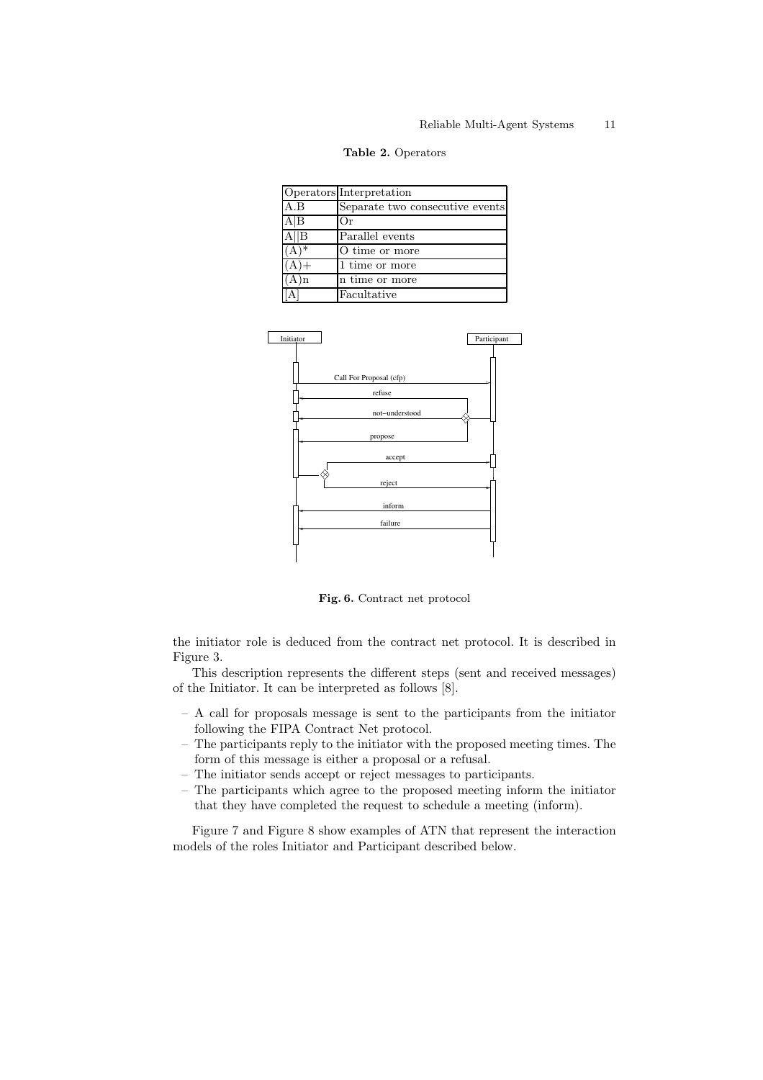|  | Table 2. Operators |
|--|--------------------|
|--|--------------------|

|     | Operators Interpretation        |
|-----|---------------------------------|
| A.B | Separate two consecutive events |
| A∣B | Or                              |
| ΙB  | Parallel events                 |
|     | O time or more                  |
|     | 1 time or more                  |
|     | n time or more                  |
|     | Facultative                     |



Fig. 6. Contract net protocol

the initiator role is deduced from the contract net protocol. It is described in Figure 3.

This description represents the different steps (sent and received messages) of the Initiator. It can be interpreted as follows [8].

- A call for proposals message is sent to the participants from the initiator following the FIPA Contract Net protocol.
- The participants reply to the initiator with the proposed meeting times. The form of this message is either a proposal or a refusal.
- The initiator sends accept or reject messages to participants.
- The participants which agree to the proposed meeting inform the initiator that they have completed the request to schedule a meeting (inform).

Figure 7 and Figure 8 show examples of ATN that represent the interaction models of the roles Initiator and Participant described below.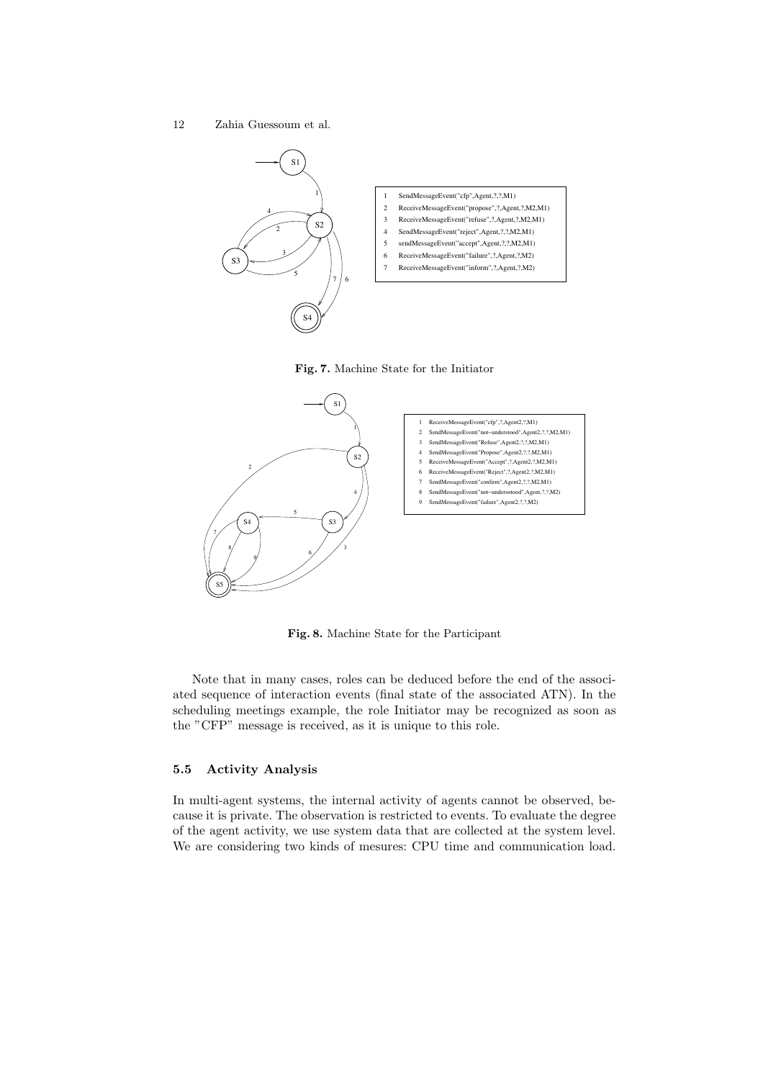

Fig. 7. Machine State for the Initiator



Fig. 8. Machine State for the Participant

Note that in many cases, roles can be deduced before the end of the associated sequence of interaction events (final state of the associated ATN). In the scheduling meetings example, the role Initiator may be recognized as soon as the "CFP" message is received, as it is unique to this role.

#### 5.5 Activity Analysis

In multi-agent systems, the internal activity of agents cannot be observed, because it is private. The observation is restricted to events. To evaluate the degree of the agent activity, we use system data that are collected at the system level. We are considering two kinds of mesures: CPU time and communication load.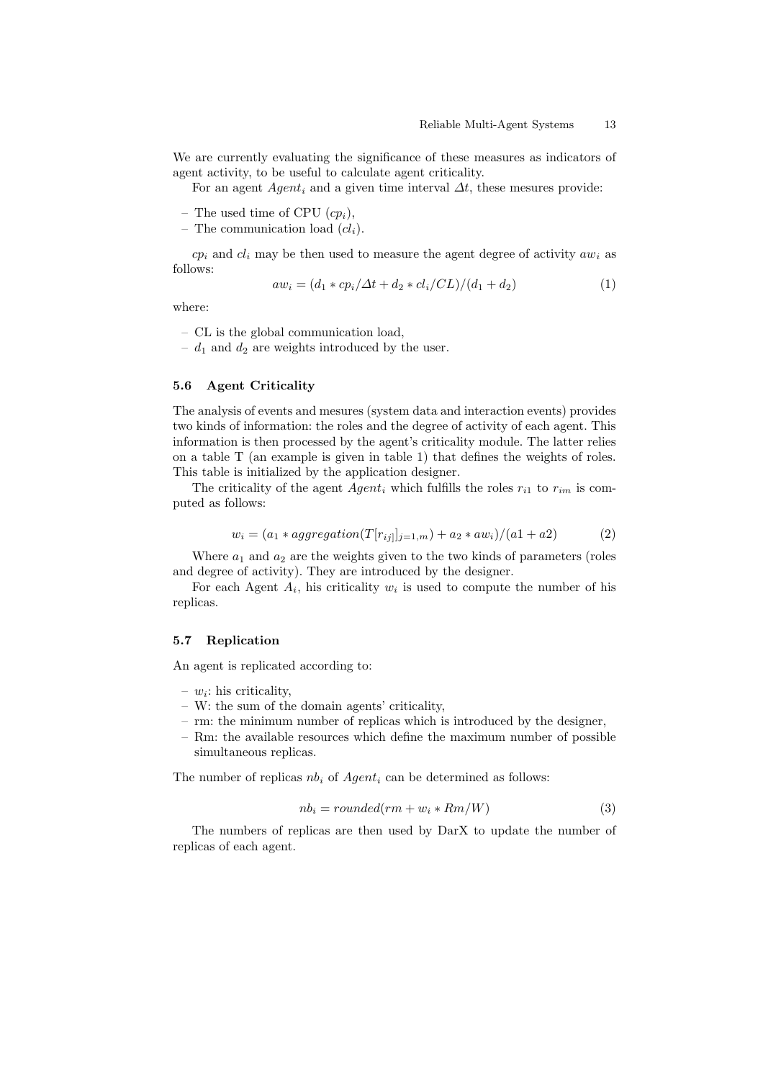We are currently evaluating the significance of these measures as indicators of agent activity, to be useful to calculate agent criticality.

For an agent  $Agent_i$  and a given time interval  $\Delta t$ , these mesures provide:

– The used time of CPU  $(cp_i)$ ,

– The communication load  $(cl_i)$ .

 $cp<sub>i</sub>$  and  $cl<sub>i</sub>$  may be then used to measure the agent degree of activity  $aw<sub>i</sub>$  as follows:

$$
aw_i = (d_1 * cp_i/\Delta t + d_2 * cl_i/CL)/(d_1 + d_2)
$$
\n(1)

where:

– CL is the global communication load,

–  $d_1$  and  $d_2$  are weights introduced by the user.

### 5.6 Agent Criticality

The analysis of events and mesures (system data and interaction events) provides two kinds of information: the roles and the degree of activity of each agent. This information is then processed by the agent's criticality module. The latter relies on a table T (an example is given in table 1) that defines the weights of roles. This table is initialized by the application designer.

The criticality of the agent  $Agent_i$  which fulfills the roles  $r_{i1}$  to  $r_{im}$  is computed as follows:

$$
w_i = (a_1 * aggregation(T[r_{ij}]]_{j=1,m}) + a_2 * aw_i)/(a_1 + a_2)
$$
 (2)

Where  $a_1$  and  $a_2$  are the weights given to the two kinds of parameters (roles and degree of activity). They are introduced by the designer.

For each Agent  $A_i$ , his criticality  $w_i$  is used to compute the number of his replicas.

#### 5.7 Replication

An agent is replicated according to:

- $w_i$ : his criticality,
- W: the sum of the domain agents' criticality,
- rm: the minimum number of replicas which is introduced by the designer,
- Rm: the available resources which define the maximum number of possible simultaneous replicas.

The number of replicas  $nb_i$  of  $Agent_i$  can be determined as follows:

$$
nb_i = rounded(rm + w_i * Rm/W)
$$
\n(3)

The numbers of replicas are then used by DarX to update the number of replicas of each agent.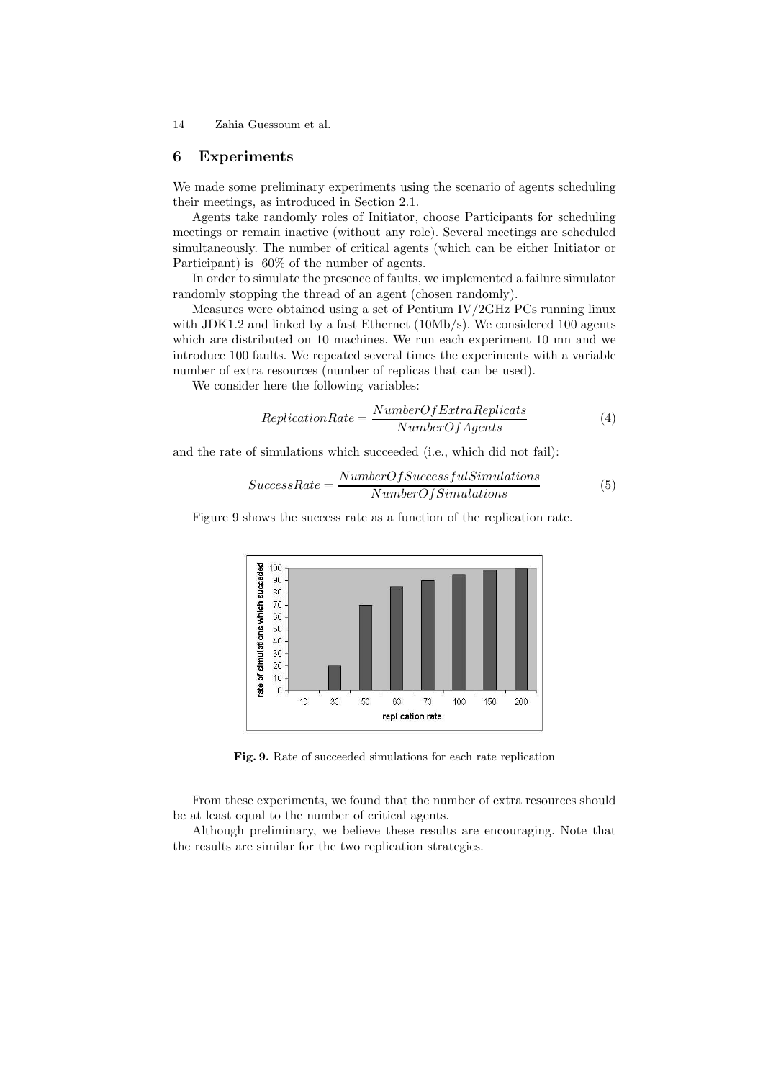### 6 Experiments

We made some preliminary experiments using the scenario of agents scheduling their meetings, as introduced in Section 2.1.

Agents take randomly roles of Initiator, choose Participants for scheduling meetings or remain inactive (without any role). Several meetings are scheduled simultaneously. The number of critical agents (which can be either Initiator or Participant) is 60% of the number of agents.

In order to simulate the presence of faults, we implemented a failure simulator randomly stopping the thread of an agent (chosen randomly).

Measures were obtained using a set of Pentium IV/2GHz PCs running linux with JDK1.2 and linked by a fast Ethernet (10Mb/s). We considered 100 agents which are distributed on 10 machines. We run each experiment 10 mn and we introduce 100 faults. We repeated several times the experiments with a variable number of extra resources (number of replicas that can be used).

We consider here the following variables:

$$
ReplicationRate = \frac{NumberOf ExtraReplicats}{NumberOf Agents}
$$
\n(4)

and the rate of simulations which succeeded (i.e., which did not fail):

$$
SuccessRate = \frac{NumberOfSuccessfulSimulations}{NumberOfSimulations}
$$
\n(5)

Figure 9 shows the success rate as a function of the replication rate.



Fig. 9. Rate of succeeded simulations for each rate replication

From these experiments, we found that the number of extra resources should be at least equal to the number of critical agents.

Although preliminary, we believe these results are encouraging. Note that the results are similar for the two replication strategies.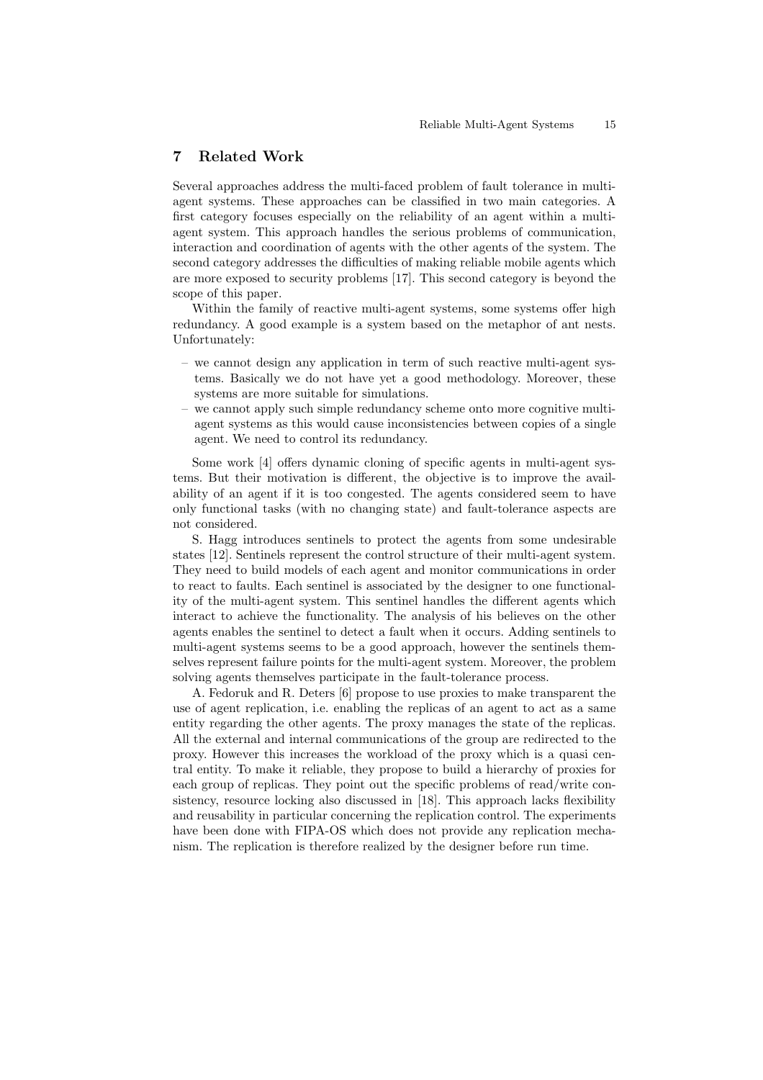# 7 Related Work

Several approaches address the multi-faced problem of fault tolerance in multiagent systems. These approaches can be classified in two main categories. A first category focuses especially on the reliability of an agent within a multiagent system. This approach handles the serious problems of communication, interaction and coordination of agents with the other agents of the system. The second category addresses the difficulties of making reliable mobile agents which are more exposed to security problems [17]. This second category is beyond the scope of this paper.

Within the family of reactive multi-agent systems, some systems offer high redundancy. A good example is a system based on the metaphor of ant nests. Unfortunately:

- we cannot design any application in term of such reactive multi-agent systems. Basically we do not have yet a good methodology. Moreover, these systems are more suitable for simulations.
- we cannot apply such simple redundancy scheme onto more cognitive multiagent systems as this would cause inconsistencies between copies of a single agent. We need to control its redundancy.

Some work [4] offers dynamic cloning of specific agents in multi-agent systems. But their motivation is different, the objective is to improve the availability of an agent if it is too congested. The agents considered seem to have only functional tasks (with no changing state) and fault-tolerance aspects are not considered.

S. Hagg introduces sentinels to protect the agents from some undesirable states [12]. Sentinels represent the control structure of their multi-agent system. They need to build models of each agent and monitor communications in order to react to faults. Each sentinel is associated by the designer to one functionality of the multi-agent system. This sentinel handles the different agents which interact to achieve the functionality. The analysis of his believes on the other agents enables the sentinel to detect a fault when it occurs. Adding sentinels to multi-agent systems seems to be a good approach, however the sentinels themselves represent failure points for the multi-agent system. Moreover, the problem solving agents themselves participate in the fault-tolerance process.

A. Fedoruk and R. Deters [6] propose to use proxies to make transparent the use of agent replication, i.e. enabling the replicas of an agent to act as a same entity regarding the other agents. The proxy manages the state of the replicas. All the external and internal communications of the group are redirected to the proxy. However this increases the workload of the proxy which is a quasi central entity. To make it reliable, they propose to build a hierarchy of proxies for each group of replicas. They point out the specific problems of read/write consistency, resource locking also discussed in [18]. This approach lacks flexibility and reusability in particular concerning the replication control. The experiments have been done with FIPA-OS which does not provide any replication mechanism. The replication is therefore realized by the designer before run time.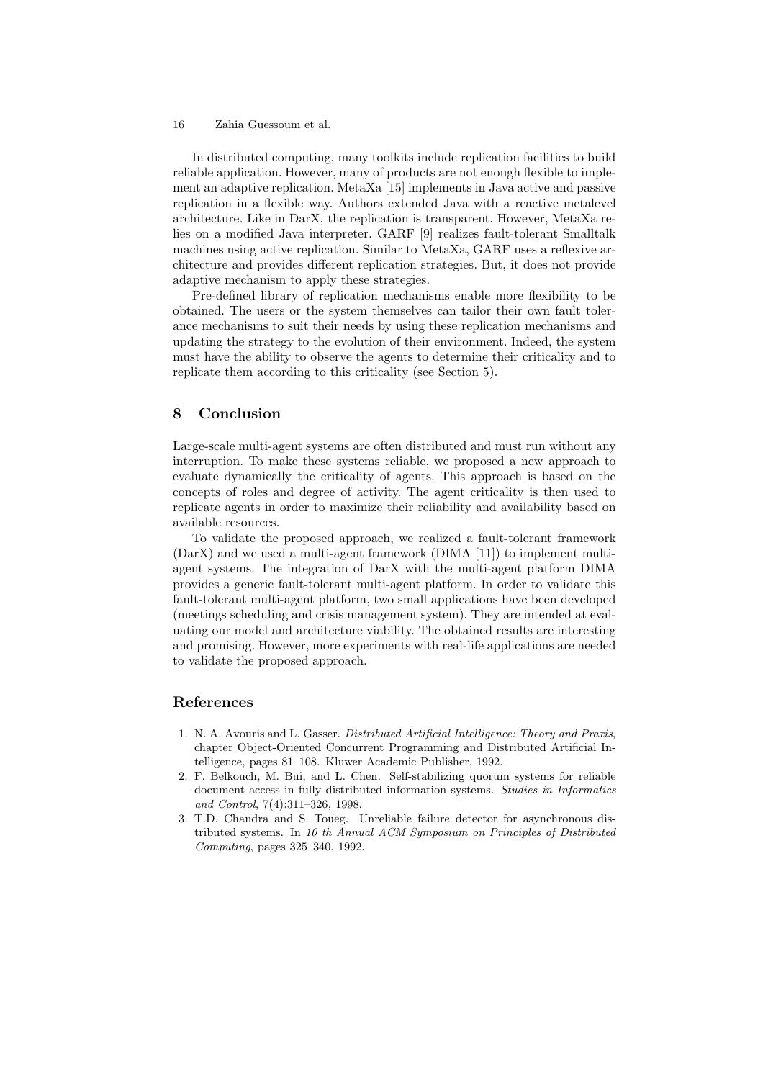In distributed computing, many toolkits include replication facilities to build reliable application. However, many of products are not enough flexible to implement an adaptive replication. MetaXa [15] implements in Java active and passive replication in a flexible way. Authors extended Java with a reactive metalevel architecture. Like in DarX, the replication is transparent. However, MetaXa relies on a modified Java interpreter. GARF [9] realizes fault-tolerant Smalltalk machines using active replication. Similar to MetaXa, GARF uses a reflexive architecture and provides different replication strategies. But, it does not provide adaptive mechanism to apply these strategies.

Pre-defined library of replication mechanisms enable more flexibility to be obtained. The users or the system themselves can tailor their own fault tolerance mechanisms to suit their needs by using these replication mechanisms and updating the strategy to the evolution of their environment. Indeed, the system must have the ability to observe the agents to determine their criticality and to replicate them according to this criticality (see Section 5).

### 8 Conclusion

Large-scale multi-agent systems are often distributed and must run without any interruption. To make these systems reliable, we proposed a new approach to evaluate dynamically the criticality of agents. This approach is based on the concepts of roles and degree of activity. The agent criticality is then used to replicate agents in order to maximize their reliability and availability based on available resources.

To validate the proposed approach, we realized a fault-tolerant framework (DarX) and we used a multi-agent framework (DIMA [11]) to implement multiagent systems. The integration of DarX with the multi-agent platform DIMA provides a generic fault-tolerant multi-agent platform. In order to validate this fault-tolerant multi-agent platform, two small applications have been developed (meetings scheduling and crisis management system). They are intended at evaluating our model and architecture viability. The obtained results are interesting and promising. However, more experiments with real-life applications are needed to validate the proposed approach.

### References

- 1. N. A. Avouris and L. Gasser. Distributed Artificial Intelligence: Theory and Praxis, chapter Object-Oriented Concurrent Programming and Distributed Artificial Intelligence, pages 81–108. Kluwer Academic Publisher, 1992.
- 2. F. Belkouch, M. Bui, and L. Chen. Self-stabilizing quorum systems for reliable document access in fully distributed information systems. Studies in Informatics and Control, 7(4):311–326, 1998.
- 3. T.D. Chandra and S. Toueg. Unreliable failure detector for asynchronous distributed systems. In 10 th Annual ACM Symposium on Principles of Distributed Computing, pages 325–340, 1992.